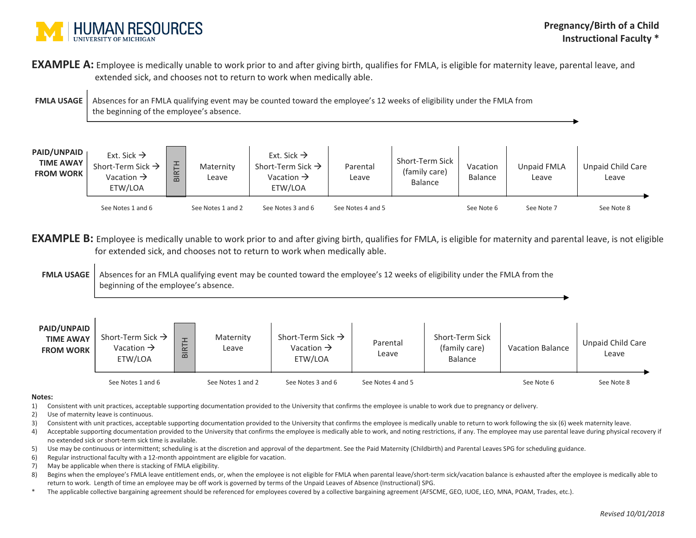

**EXAMPLE A:** Employee is medically unable to work prior to and after giving birth, qualifies for FMLA, is eligible for maternity leave, parental leave, and extended sick, and chooses not to return to work when medically able.

**FMLA USAGE** Absences for an FMLA qualifying event may be counted toward the employee's 12 weeks of eligibility under the FMLA from the beginning of the employee's absence.

| <b>PAID/UNPAID</b><br><b>TIME AWAY</b><br><b>FROM WORK</b> | Ext. Sick $\rightarrow$<br>Short-Term Sick $\rightarrow$<br>Vacation $\rightarrow$<br>ETW/LOA | $\Omega$ | Maternity<br>Leave | Ext. Sick $\rightarrow$<br>Short-Term Sick $\rightarrow$<br>Vacation $\rightarrow$<br>ETW/LOA | Parental<br>Leave | Short-Term Sick<br>(family care)<br><b>Balance</b> | Vacation<br>Balance | Unpaid FMLA<br>Leave | Unpaid Child Care<br>Leave |
|------------------------------------------------------------|-----------------------------------------------------------------------------------------------|----------|--------------------|-----------------------------------------------------------------------------------------------|-------------------|----------------------------------------------------|---------------------|----------------------|----------------------------|
|                                                            | See Notes 1 and 6                                                                             |          | See Notes 1 and 2  | See Notes 3 and 6                                                                             | See Notes 4 and 5 |                                                    | See Note 6          | See Note 7           | See Note 8                 |

**EXAMPLE B:** Employee is medically unable to work prior to and after giving birth, qualifies for FMLA, is eligible for maternity and parental leave, is not eligible for extended sick, and chooses not to return to work when medically able.

**FMLA USAGE** Absences for an FMLA qualifying event may be counted toward the employee's 12 weeks of eligibility under the FMLA from the beginning of the employee's absence.

| PAID/UNPAID<br><b>TIME AWAY</b><br><b>FROM WORK</b> | Short-Term Sick $\rightarrow$<br>Vacation $\rightarrow$<br>ETW/LOA | $\overline{\phantom{0}}$<br>$\alpha$<br>$\mathbf{\Omega}$ | Maternity<br>Leave | Short-Term Sick $\rightarrow$<br>Vacation $\rightarrow$<br>ETW/LOA | Parental<br>Leave | Short-Term Sick<br>(family care)<br>Balance | <b>Vacation Balance</b> | Unpaid Child Care<br>Leave |
|-----------------------------------------------------|--------------------------------------------------------------------|-----------------------------------------------------------|--------------------|--------------------------------------------------------------------|-------------------|---------------------------------------------|-------------------------|----------------------------|
|                                                     | See Notes 1 and 6                                                  |                                                           | See Notes 1 and 2  | See Notes 3 and 6                                                  | See Notes 4 and 5 |                                             | See Note 6              | See Note 8                 |

## **Notes:**

- 1) Consistent with unit practices, acceptable supporting documentation provided to the University that confirms the employee is unable to work due to pregnancy or delivery.
- 2) Use of maternity leave is continuous.
- 3) Consistent with unit practices, acceptable supporting documentation provided to the University that confirms the employee is medically unable to return to work following the six (6) week maternity leave.
- 4) Acceptable supporting documentation provided to the University that confirms the employee is medically able to work, and noting restrictions, if any. The employee may use parental leave during physical recovery if no extended sick or short-term sick time is available.
- 5) Use may be continuous or intermittent; scheduling is at the discretion and approval of the department. See the Paid Maternity (Childbirth) and Parental Leaves SPG for scheduling guidance.
- 6) Regular instructional faculty with a 12-month appointment are eligible for vacation.
- 7) May be applicable when there is stacking of FMLA eligibility.
- 8) Begins when the employee's FMLA leave entitlement ends, or, when the employee is not eligible for FMLA when parental leave/short-term sick/vacation balance is exhausted after the employee is medically able to return to work. Length of time an employee may be off work is governed by terms of the Unpaid Leaves of Absence (Instructional) SPG.
- \* The applicable collective bargaining agreement should be referenced for employees covered by a collective bargaining agreement (AFSCME, GEO, IUOE, LEO, MNA, POAM, Trades, etc.).